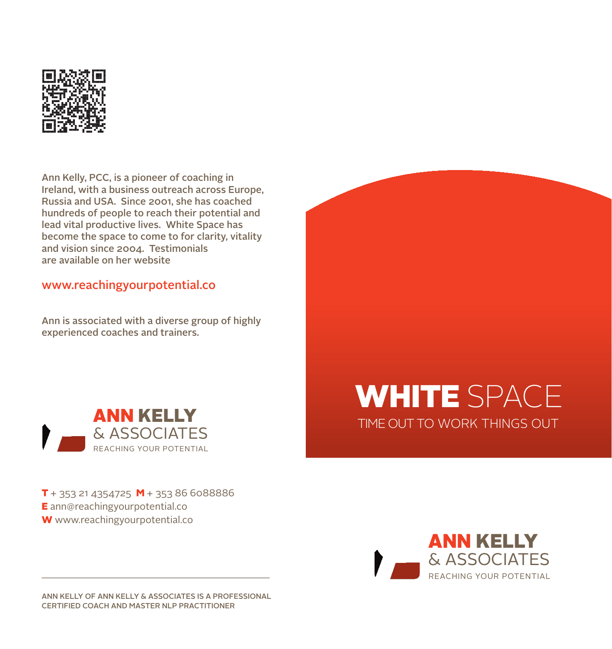

Ann Kelly, PCC, is a pioneer of coaching in Ireland, with a business outreach across Europe, Russia and USA. Since 2001, she has coached hundreds of people to reach their potential and lead vital productive lives. White Space has become the space to come to for clarity, vitality and vision since 2004. Testimonials are available on her website

#### www.reachingyourpotential.co

Ann is associated with a diverse group of highly experienced coaches and trainers.



WHITE SPACE TIME OUT TO WORK THINGS OUT

 $T + 353214354725$  **M** + 353 86 6088886 E ann@reachingyourpotential.co W www.reachingyourpotential.co



ANN KELLY OF ANN KELLY & ASSOCIATES IS A PROFESSIONAL CERTIFIED COACH AND MASTER NLP PRACTITIONER